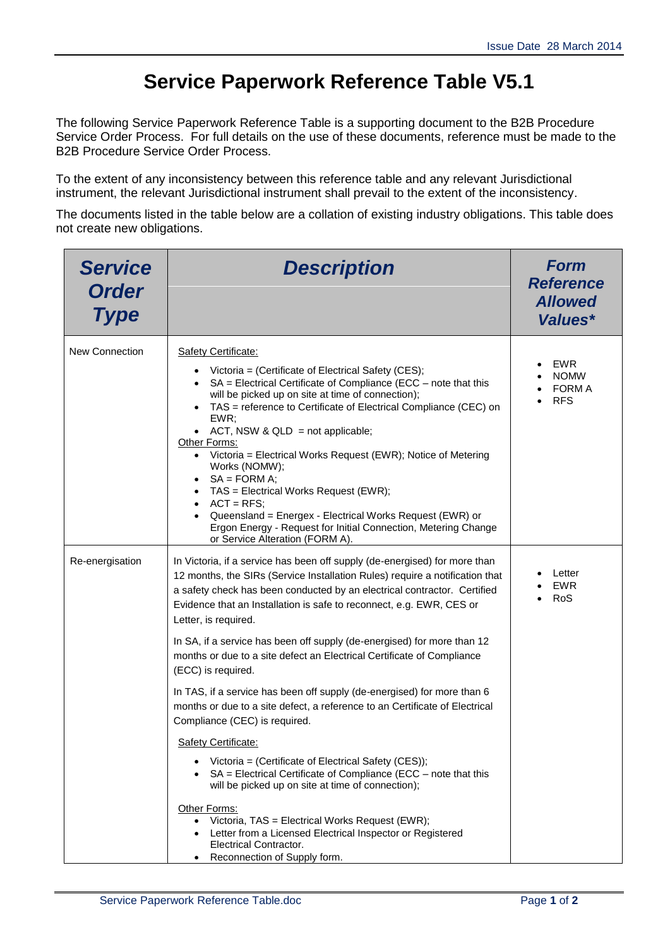## **Service Paperwork Reference Table V5.1**

The following Service Paperwork Reference Table is a supporting document to the B2B Procedure Service Order Process. For full details on the use of these documents, reference must be made to the B2B Procedure Service Order Process.

To the extent of any inconsistency between this reference table and any relevant Jurisdictional instrument, the relevant Jurisdictional instrument shall prevail to the extent of the inconsistency.

The documents listed in the table below are a collation of existing industry obligations. This table does not create new obligations.

| <b>Service</b><br><b>Order</b><br><b>Type</b> | <b>Description</b>                                                                                                                                                                                                                                                                                                                                                                                                                                                                                                                                                                                                                                                                                                                                                                                                                                                                                                                                                                                                                                                            | <b>Form</b><br><b>Reference</b><br><b>Allowed</b><br>Values* |
|-----------------------------------------------|-------------------------------------------------------------------------------------------------------------------------------------------------------------------------------------------------------------------------------------------------------------------------------------------------------------------------------------------------------------------------------------------------------------------------------------------------------------------------------------------------------------------------------------------------------------------------------------------------------------------------------------------------------------------------------------------------------------------------------------------------------------------------------------------------------------------------------------------------------------------------------------------------------------------------------------------------------------------------------------------------------------------------------------------------------------------------------|--------------------------------------------------------------|
| New Connection                                | Safety Certificate:<br>• Victoria = (Certificate of Electrical Safety (CES);<br>SA = Electrical Certificate of Compliance (ECC - note that this<br>will be picked up on site at time of connection);<br>TAS = reference to Certificate of Electrical Compliance (CEC) on<br>EWR;<br>• ACT, NSW & QLD = not applicable;<br>Other Forms:<br>• Victoria = Electrical Works Request (EWR); Notice of Metering<br>Works (NOMW);<br>• $SA = FORM A;$<br>• TAS = Electrical Works Request (EWR);<br>$ACT = RFS$<br>Queensland = Energex - Electrical Works Request (EWR) or<br>Ergon Energy - Request for Initial Connection, Metering Change<br>or Service Alteration (FORM A).                                                                                                                                                                                                                                                                                                                                                                                                     | EWR<br><b>NOMW</b><br><b>FORM A</b><br><b>RFS</b>            |
| Re-energisation                               | In Victoria, if a service has been off supply (de-energised) for more than<br>12 months, the SIRs (Service Installation Rules) require a notification that<br>a safety check has been conducted by an electrical contractor. Certified<br>Evidence that an Installation is safe to reconnect, e.g. EWR, CES or<br>Letter, is required.<br>In SA, if a service has been off supply (de-energised) for more than 12<br>months or due to a site defect an Electrical Certificate of Compliance<br>(ECC) is required.<br>In TAS, if a service has been off supply (de-energised) for more than 6<br>months or due to a site defect, a reference to an Certificate of Electrical<br>Compliance (CEC) is required.<br>Safety Certificate:<br>Victoria = (Certificate of Electrical Safety (CES));<br>SA = Electrical Certificate of Compliance (ECC - note that this<br>will be picked up on site at time of connection);<br>Other Forms:<br>Victoria, TAS = Electrical Works Request (EWR);<br>Letter from a Licensed Electrical Inspector or Registered<br>Electrical Contractor. | Letter<br><b>EWR</b><br>RoS                                  |